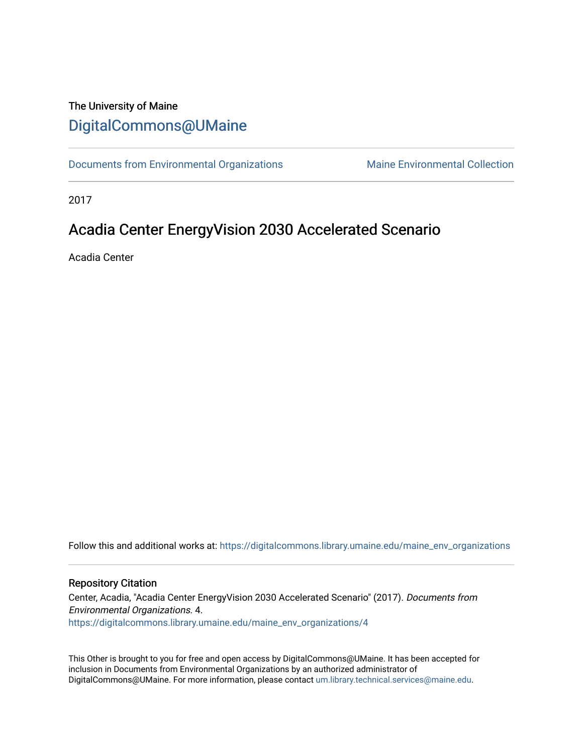# The University of Maine [DigitalCommons@UMaine](https://digitalcommons.library.umaine.edu/)

[Documents from Environmental Organizations](https://digitalcommons.library.umaine.edu/maine_env_organizations) Maine Environmental Collection

2017

# Acadia Center EnergyVision 2030 Accelerated Scenario

Acadia Center

Follow this and additional works at: [https://digitalcommons.library.umaine.edu/maine\\_env\\_organizations](https://digitalcommons.library.umaine.edu/maine_env_organizations?utm_source=digitalcommons.library.umaine.edu%2Fmaine_env_organizations%2F4&utm_medium=PDF&utm_campaign=PDFCoverPages)

#### Repository Citation

Center, Acadia, "Acadia Center EnergyVision 2030 Accelerated Scenario" (2017). Documents from Environmental Organizations. 4. [https://digitalcommons.library.umaine.edu/maine\\_env\\_organizations/4](https://digitalcommons.library.umaine.edu/maine_env_organizations/4?utm_source=digitalcommons.library.umaine.edu%2Fmaine_env_organizations%2F4&utm_medium=PDF&utm_campaign=PDFCoverPages) 

This Other is brought to you for free and open access by DigitalCommons@UMaine. It has been accepted for inclusion in Documents from Environmental Organizations by an authorized administrator of DigitalCommons@UMaine. For more information, please contact [um.library.technical.services@maine.edu](mailto:um.library.technical.services@maine.edu).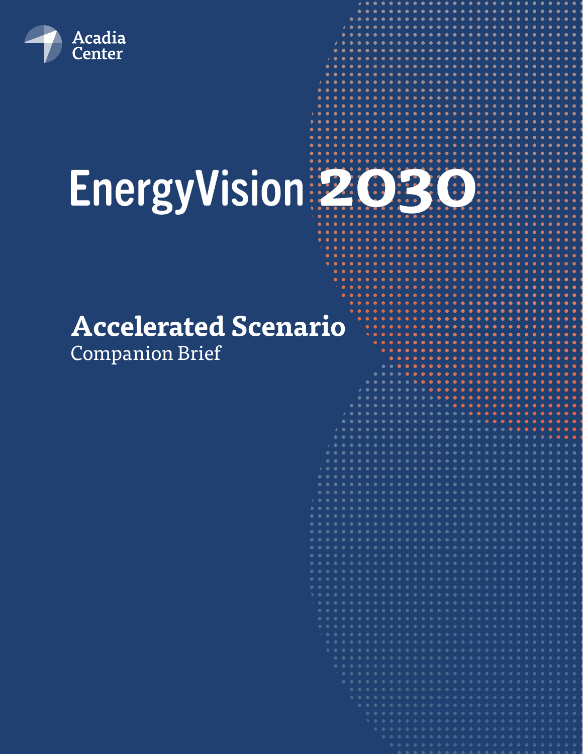

# EnergyVision 2030

# **Accelerated Scenario** Companion Brief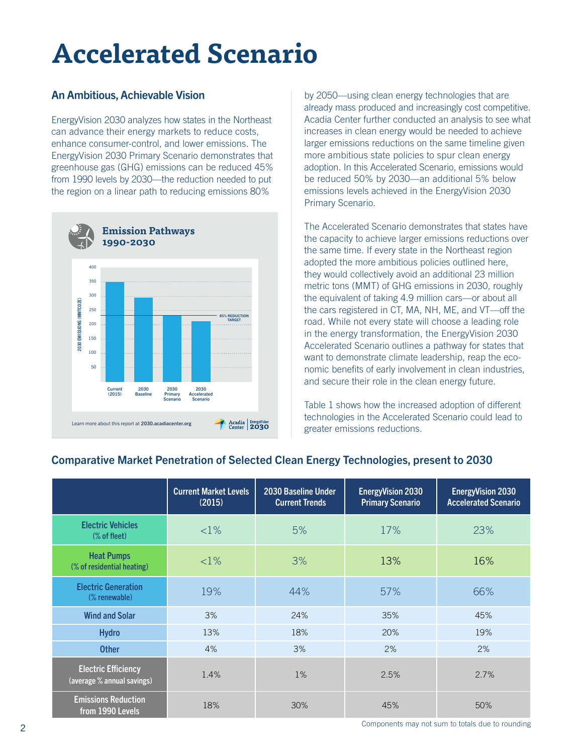# **Accelerated Scenario**

#### An Ambitious, Achievable Vision

EnergyVision 2030 analyzes how states in the Northeast can advance their energy markets to reduce costs, enhance consumer-control, and lower emissions. The EnergyVision 2030 Primary Scenario demonstrates that greenhouse gas (GHG) emissions can be reduced 45% from 1990 levels by 2030—the reduction needed to put the region on a linear path to reducing emissions 80%



by 2050—using clean energy technologies that are already mass produced and increasingly cost competitive. Acadia Center further conducted an analysis to see what increases in clean energy would be needed to achieve larger emissions reductions on the same timeline given more ambitious state policies to spur clean energy adoption. In this Accelerated Scenario, emissions would be reduced 50% by 2030—an additional 5% below emissions levels achieved in the EnergyVision 2030 Primary Scenario.

The Accelerated Scenario demonstrates that states have the capacity to achieve larger emissions reductions over the same time. If every state in the Northeast region adopted the more ambitious policies outlined here, they would collectively avoid an additional 23 million metric tons (MMT) of GHG emissions in 2030, roughly the equivalent of taking 4.9 million cars—or about all the cars registered in CT, MA, NH, ME, and VT—off the road. While not every state will choose a leading role in the energy transformation, the EnergyVision 2030 Accelerated Scenario outlines a pathway for states that want to demonstrate climate leadership, reap the economic benefits of early involvement in clean industries, and secure their role in the clean energy future.

Table 1 shows how the increased adoption of different technologies in the Accelerated Scenario could lead to greater emissions reductions.

#### Current Market Levels (2015) 2030 Baseline Under Current Trends EnergyVision 2030 Primary Scenario EnergyVision 2030 Accelerated Scenario Electric Vehicles  $\frac{1}{8}$  (% of fleet)  $\frac{1}{8}$   $\frac{1}{8}$   $\frac{1}{8}$   $\frac{1}{8}$   $\frac{1}{8}$   $\frac{1}{8}$   $\frac{1}{8}$   $\frac{1}{8}$   $\frac{1}{8}$   $\frac{1}{8}$   $\frac{1}{8}$   $\frac{1}{8}$   $\frac{1}{8}$   $\frac{1}{8}$   $\frac{1}{8}$   $\frac{1}{8}$   $\frac{1}{8}$   $\frac{1}{8}$   $\frac{1}{8}$   $\frac{1}{8}$ Heat Pumps  $\frac{1}{8}$  of residential heating)  $\frac{1}{8}$   $\frac{1}{8}$   $\frac{1}{8}$   $\frac{1}{8}$   $\frac{1}{8}$   $\frac{1}{8}$   $\frac{1}{8}$   $\frac{1}{8}$   $\frac{1}{8}$   $\frac{1}{8}$   $\frac{1}{8}$   $\frac{1}{8}$   $\frac{1}{8}$   $\frac{1}{8}$   $\frac{1}{8}$   $\frac{1}{8}$   $\frac{1}{8}$   $\frac{1}{8}$   $\frac{1}{8$ Electric Generation  $\frac{19}{8}$  19% 19% 44% 57% 66% Wind and Solar 3% 35% 35% 35% 45% Hydro 13% 18% 20% 19% Other 4% 3% 2% 2% Electric Efficiency Electric Efficiency<br>(average % annual savings) (average % annual savings) Emissions Reduction  $\frac{18\%}{18\%}$  18% 30% 45% 45% 50%

#### Comparative Market Penetration of Selected Clean Energy Technologies, present to 2030

Components may not sum to totals due to rounding 2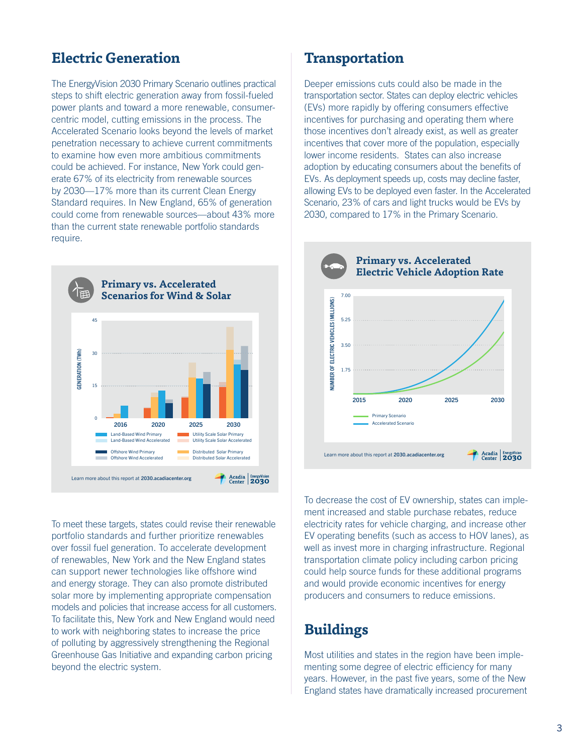# **Electric Generation**

The EnergyVision 2030 Primary Scenario outlines practical steps to shift electric generation away from fossil-fueled power plants and toward a more renewable, consumercentric model, cutting emissions in the process. The Accelerated Scenario looks beyond the levels of market penetration necessary to achieve current commitments to examine how even more ambitious commitments could be achieved. For instance, New York could generate 67% of its electricity from renewable sources by 2030—17% more than its current Clean Energy Standard requires. In New England, 65% of generation could come from renewable sources—about 43% more than the current state renewable portfolio standards require.



To meet these targets, states could revise their renewable portfolio standards and further prioritize renewables over fossil fuel generation. To accelerate development of renewables, New York and the New England states can support newer technologies like offshore wind and energy storage. They can also promote distributed solar more by implementing appropriate compensation models and policies that increase access for all customers. To facilitate this, New York and New England would need to work with neighboring states to increase the price of polluting by aggressively strengthening the Regional Greenhouse Gas Initiative and expanding carbon pricing beyond the electric system.

### **Transportation**

Deeper emissions cuts could also be made in the transportation sector. States can deploy electric vehicles (EVs) more rapidly by offering consumers effective incentives for purchasing and operating them where those incentives don't already exist, as well as greater incentives that cover more of the population, especially lower income residents. States can also increase adoption by educating consumers about the benefits of EVs. As deployment speeds up, costs may decline faster, allowing EVs to be deployed even faster. In the Accelerated Scenario, 23% of cars and light trucks would be EVs by 2030, compared to 17% in the Primary Scenario.



To decrease the cost of EV ownership, states can implement increased and stable purchase rebates, reduce electricity rates for vehicle charging, and increase other EV operating benefits (such as access to HOV lanes), as well as invest more in charging infrastructure. Regional transportation climate policy including carbon pricing could help source funds for these additional programs and would provide economic incentives for energy producers and consumers to reduce emissions.

# **Buildings**

Most utilities and states in the region have been implementing some degree of electric efficiency for many years. However, in the past five years, some of the New England states have dramatically increased procurement